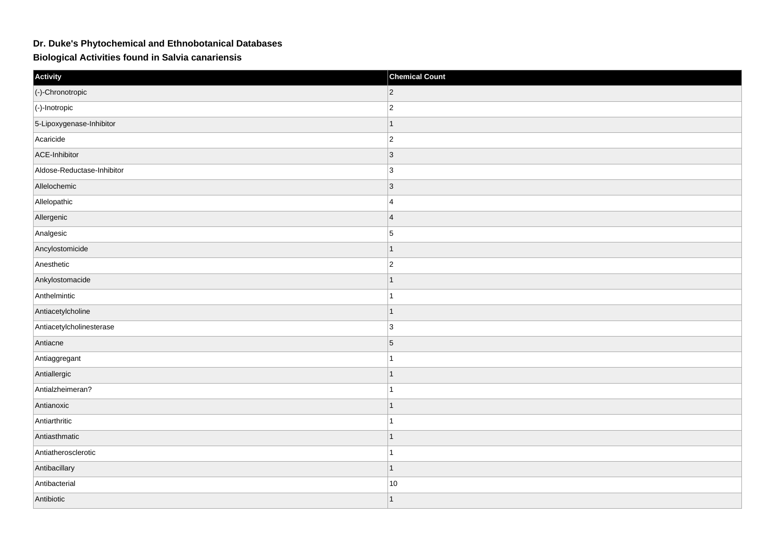## **Dr. Duke's Phytochemical and Ethnobotanical Databases**

**Biological Activities found in Salvia canariensis**

| Activity                   | <b>Chemical Count</b> |
|----------------------------|-----------------------|
| (-)-Chronotropic           | $ 2\rangle$           |
| $ (-)$ -Inotropic          | $ 2\rangle$           |
| 5-Lipoxygenase-Inhibitor   | $\vert$ 1             |
| Acaricide                  | $ 2\rangle$           |
| ACE-Inhibitor              | $\vert$ 3             |
| Aldose-Reductase-Inhibitor | 3                     |
| Allelochemic               | $\vert$ 3             |
| Allelopathic               | 4                     |
| Allergenic                 | $\vert$ 4             |
| Analgesic                  | $\overline{5}$        |
| Ancylostomicide            | $\mathbf{1}$          |
| Anesthetic                 | $ 2\rangle$           |
| Ankylostomacide            | $\mathbf{1}$          |
| Anthelmintic               | $\mathbf{1}$          |
| Antiacetylcholine          | $\vert$ 1             |
| Antiacetylcholinesterase   | $\vert$ 3             |
| Antiacne                   | $\overline{5}$        |
| Antiaggregant              | $\mathbf{1}$          |
| Antiallergic               | $\mathbf{1}$          |
| Antialzheimeran?           | $\mathbf{1}$          |
| Antianoxic                 | $\mathbf{1}$          |
| Antiarthritic              | $\mathbf{1}$          |
| Antiasthmatic              | $\vert$ 1             |
| Antiatherosclerotic        | $\mathbf{1}$          |
| Antibacillary              | $\mathbf{1}$          |
| Antibacterial              | 10                    |
| Antibiotic                 | $\mathbf{1}$          |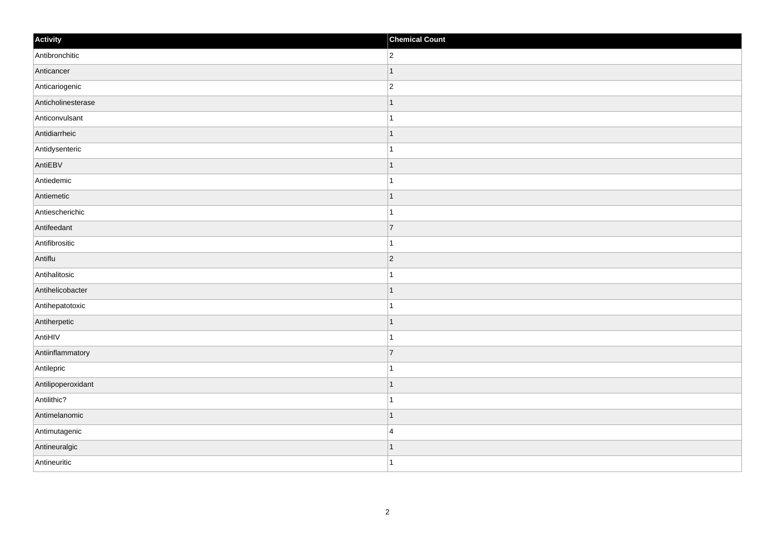| Activity           | <b>Chemical Count</b>    |
|--------------------|--------------------------|
| Antibronchitic     | $\overline{2}$           |
| Anticancer         |                          |
| Anticariogenic     | $\overline{c}$           |
| Anticholinesterase | 1                        |
| Anticonvulsant     | $\overline{1}$           |
| Antidiarrheic      |                          |
| Antidysenteric     |                          |
| AntiEBV            | -1                       |
| Antiedemic         |                          |
| Antiemetic         | 1                        |
| Antiescherichic    | 1                        |
| Antifeedant        | $\overline{7}$           |
| Antifibrositic     |                          |
| Antiflu            | $ 2\rangle$              |
| Antihalitosic      |                          |
| Antihelicobacter   | 1                        |
| Antihepatotoxic    | 1                        |
| Antiherpetic       |                          |
| AntiHIV            |                          |
| Antiinflammatory   | $\overline{7}$           |
| Antilepric         |                          |
| Antilipoperoxidant | $\overline{\phantom{a}}$ |
| Antilithic?        | -1                       |
| Antimelanomic      | $\overline{\phantom{a}}$ |
| Antimutagenic      | $\overline{4}$           |
| Antineuralgic      | -1                       |
| Antineuritic       | $\overline{1}$           |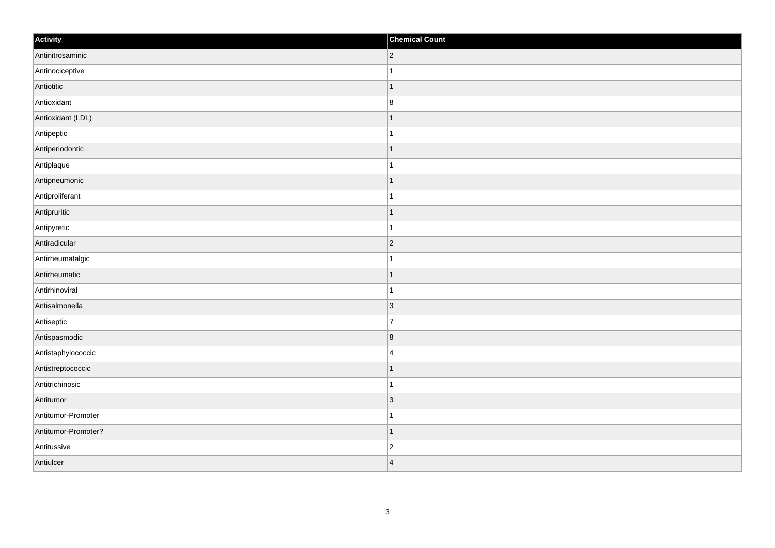| Activity            | <b>Chemical Count</b>    |
|---------------------|--------------------------|
| Antinitrosaminic    | $ 2\rangle$              |
| Antinociceptive     |                          |
| Antiotitic          | $\overline{\phantom{a}}$ |
| Antioxidant         | $\boldsymbol{8}$         |
| Antioxidant (LDL)   |                          |
| Antipeptic          |                          |
| Antiperiodontic     | -1                       |
| Antiplaque          | 1                        |
| Antipneumonic       |                          |
| Antiproliferant     |                          |
| Antipruritic        |                          |
| Antipyretic         |                          |
| Antiradicular       | $\vert$ 2                |
| Antirheumatalgic    |                          |
| Antirheumatic       |                          |
| Antirhinoviral      |                          |
| Antisalmonella      | $\vert$ 3                |
| Antiseptic          | 7                        |
| Antispasmodic       | $\overline{\mathbf{8}}$  |
| Antistaphylococcic  | $\overline{4}$           |
| Antistreptococcic   |                          |
| Antitrichinosic     |                          |
| Antitumor           | $\vert$ 3                |
| Antitumor-Promoter  |                          |
| Antitumor-Promoter? | $\overline{\phantom{a}}$ |
| Antitussive         | $\overline{c}$           |
| Antiulcer           | $\vert 4 \vert$          |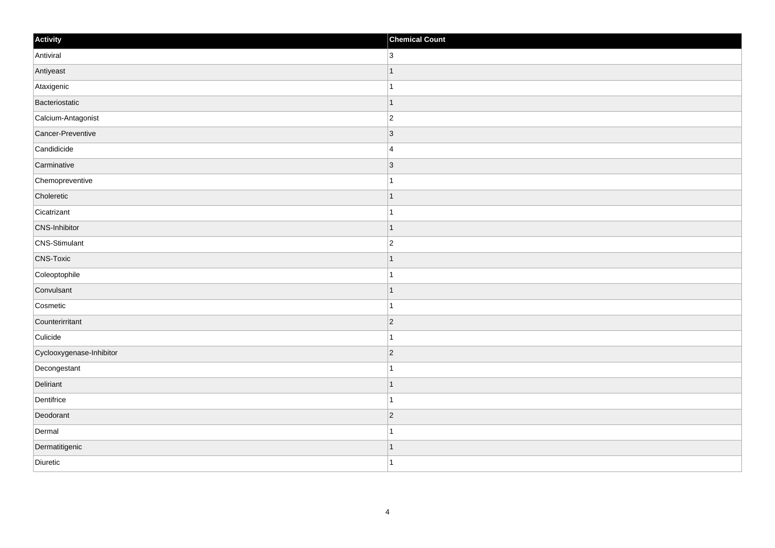| Activity                 | <b>Chemical Count</b>    |
|--------------------------|--------------------------|
| Antiviral                | 3 <sup>1</sup>           |
| Antiyeast                |                          |
| Ataxigenic               |                          |
| Bacteriostatic           | $\vert$ 1                |
| Calcium-Antagonist       | $\overline{2}$           |
| Cancer-Preventive        | $\vert 3 \vert$          |
| Candidicide              | $\overline{\mathbf{4}}$  |
| Carminative              | $\vert$ 3                |
| Chemopreventive          |                          |
| Choleretic               | 1                        |
| Cicatrizant              | 1                        |
| CNS-Inhibitor            | $\overline{\phantom{a}}$ |
| CNS-Stimulant            | $\overline{2}$           |
| <b>CNS-Toxic</b>         |                          |
| Coleoptophile            |                          |
| Convulsant               | 1                        |
| Cosmetic                 | -1                       |
| Counterirritant          | $\vert$ 2                |
| Culicide                 |                          |
| Cyclooxygenase-Inhibitor | $\vert$ 2                |
| Decongestant             |                          |
| Deliriant                | $\overline{\phantom{a}}$ |
| Dentifrice               | 1                        |
| Deodorant                | $\vert$ 2                |
| Dermal                   | -1                       |
| Dermatitigenic           | -1                       |
| Diuretic                 | $\overline{1}$           |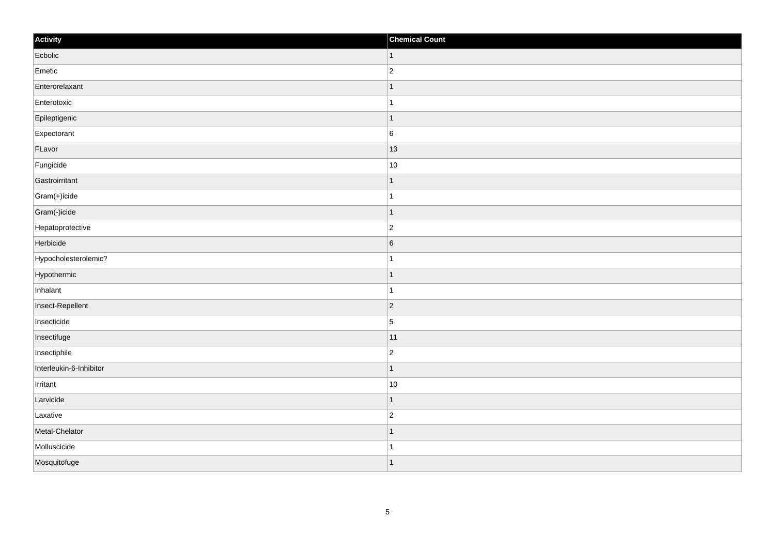| Activity                | <b>Chemical Count</b> |
|-------------------------|-----------------------|
| Ecbolic                 | $\vert$ 1             |
| Emetic                  | $\vert$ 2             |
| Enterorelaxant          | $\overline{1}$        |
| Enterotoxic             | $\mathbf{1}$          |
| Epileptigenic           | $\mathbf{1}$          |
| Expectorant             | $\overline{6}$        |
| FLavor                  | 13                    |
| Fungicide               | 10                    |
| Gastroirritant          | $\overline{1}$        |
| Gram(+)icide            | $\mathbf{1}$          |
| Gram(-)icide            | $\mathbf{1}$          |
| Hepatoprotective        | $\vert$ 2             |
| Herbicide               | $6\overline{6}$       |
| Hypocholesterolemic?    | $\mathbf{1}$          |
| Hypothermic             | $\overline{1}$        |
| Inhalant                | $\mathbf{1}$          |
| Insect-Repellent        | $\overline{2}$        |
| Insecticide             | $\overline{5}$        |
| Insectifuge             | 11                    |
| Insectiphile            | $\overline{c}$        |
| Interleukin-6-Inhibitor | $\mathbf{1}$          |
| Irritant                | 10                    |
| Larvicide               | $\mathbf{1}$          |
| Laxative                | $\boldsymbol{2}$      |
| Metal-Chelator          | $\overline{1}$        |
| Molluscicide            | $\mathbf{1}$          |
| Mosquitofuge            | $\vert$ 1             |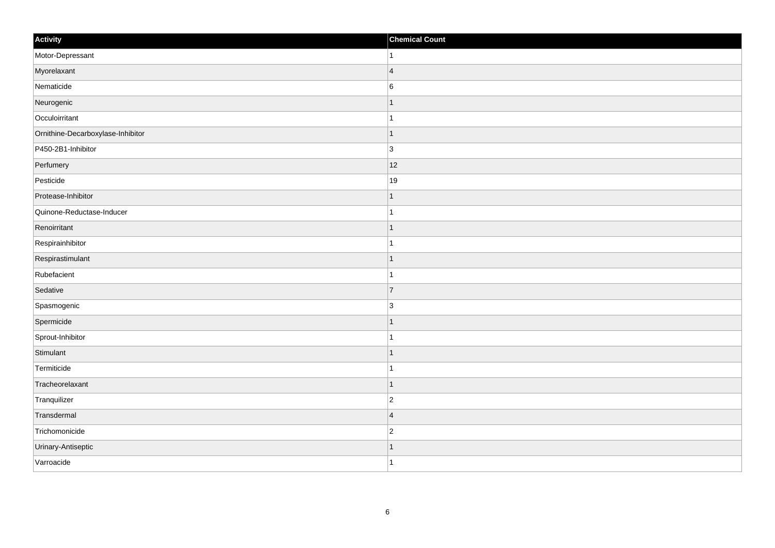| Activity                          | <b>Chemical Count</b> |
|-----------------------------------|-----------------------|
| Motor-Depressant                  | $\vert$ 1             |
| Myorelaxant                       | $\vert 4$             |
| Nematicide                        | 6                     |
| Neurogenic                        | $\vert$ 1             |
| Occuloirritant                    | $\vert$ 1             |
| Ornithine-Decarboxylase-Inhibitor | $\vert$ 1             |
| P450-2B1-Inhibitor                | $ 3\rangle$           |
| Perfumery                         | 12                    |
| Pesticide                         | 19                    |
| Protease-Inhibitor                | $\vert$ 1             |
| Quinone-Reductase-Inducer         | $\vert$ 1             |
| Renoirritant                      | $\mathbf{1}$          |
| Respirainhibitor                  | $\mathbf{1}$          |
| Respirastimulant                  | $\mathbf{1}$          |
| Rubefacient                       | $\mathbf{1}$          |
| Sedative                          | 7                     |
| Spasmogenic                       | 3                     |
| Spermicide                        | $\mathbf{1}$          |
| Sprout-Inhibitor                  | $\mathbf{1}$          |
| Stimulant                         | $\mathbf{1}$          |
| Termiticide                       | $\mathbf{1}$          |
| Tracheorelaxant                   | $\vert$ 1             |
| Tranquilizer                      | $ 2\rangle$           |
| Transdermal                       | 4                     |
| Trichomonicide                    | $\vert$ 2             |
| Urinary-Antiseptic                | $\mathbf{1}$          |
| Varroacide                        | $\vert$ 1             |